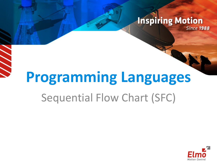#### **Inspiring Motion Since 1988**

# **Programming Languages** Sequential Flow Chart (SFC)

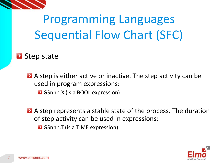

**Step state** 

A step is either active or inactive. The step activity can be used in program expressions:

**B** GSnnn.X (is a BOOL expression)

A step represents a stable state of the process. The duration of step activity can be used in expressions:

**B** GSnnn.T (is a TIME expression)

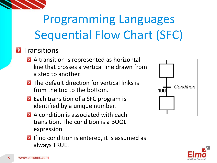#### **D** Transitions

- **A** A transition is represented as horizontal line that crosses a vertical line drawn from a step to another.
- **E** The default direction for vertical links is from the top to the bottom.
- **Each transition of a SFC program is** identified by a unique number.
- **A** A condition is associated with each transition. The condition is a BOOL expression.
- **D** If no condition is entered, it is assumed as always TRUE.





3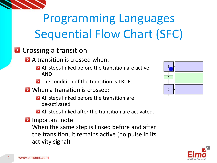

#### **2** Crossing a transition

**A** transition is crossed when:

- **All steps linked before the transition are active** AND
- **E** The condition of the transition is TRUE.
- **E** When a transition is crossed:
	- **All steps linked before the transition are** de-activated
	- **All steps linked after the transition are activated.**
- **D** Important note:

When the same step is linked before and after the transition, it remains active (no pulse in its activity signal)



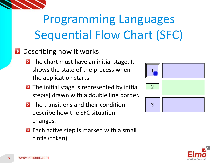

- **Describing how it works:** 
	- **D** The chart must have an initial stage. It shows the state of the process when the application starts.
	- **D** The initial stage is represented by initial step(s) drawn with a double line border.
	- **E** The transitions and their condition describe how the SFC situation changes.
	- **Each active step is marked with a small** circle (token).



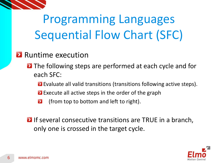

#### **Runtime execution**

- **D** The following steps are performed at each cycle and for each SFC:
	- **Exaluate all valid transitions (transitions following active steps).**
	- **Execute all active steps in the order of the graph**
	- $\blacktriangleright$ (from top to bottom and left to right).
- **D** If several consecutive transitions are TRUE in a branch, only one is crossed in the target cycle.

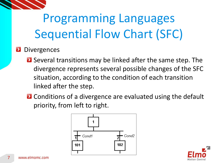

#### **Divergences**

- **E** Several transitions may be linked after the same step. The divergence represents several possible changes of the SFC situation, according to the condition of each transition linked after the step.
- **E** Conditions of a divergence are evaluated using the default priority, from left to right.



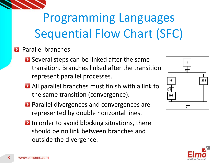

#### **Parallel branches**

- **E** Several steps can be linked after the same transition. Branches linked after the transition represent parallel processes.
- All parallel branches must finish with a link to the same transition (convergence).
- **Parallel divergences and convergences are** represented by double horizontal lines.
- **D** In order to avoid blocking situations, there should be no link between branches and outside the divergence.



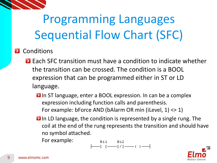

- **2** Conditions
	- **Each SFC transition must have a condition to indicate whether** the transition can be crossed. The condition is a BOOL expression that can be programmed either in ST or LD language.
		- **D** In ST language, enter a BOOL expression. In can be a complex expression including function calls and parenthesis. For example: bForce AND (bAlarm OR min (iLevel, 1) <> 1)
		- **D** In LD language, the condition is represented by a single rung. The coil at the end of the rung represents the transition and should have no symbol attached.
			- For example:

$$
\begin{array}{ccc}\n & \text{Bi1} & \text{Bi2} \\
\leftarrow & \text{J} & \text{I} & \text{I} & \text{I} \\
& & \text{I} & \text{I} & \text{I}\n \end{array}
$$

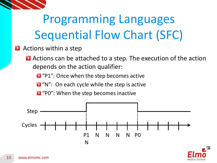

**Actions within a step** 

**Actions can be attached to a step. The execution of the action** depends on the action qualifier:

**2** "P1": Once when the step becomes active

**D** "N": On each cycle while the step is active

**D** "PO": When the step becomes inactive



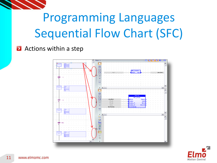

#### **Actions within a step**